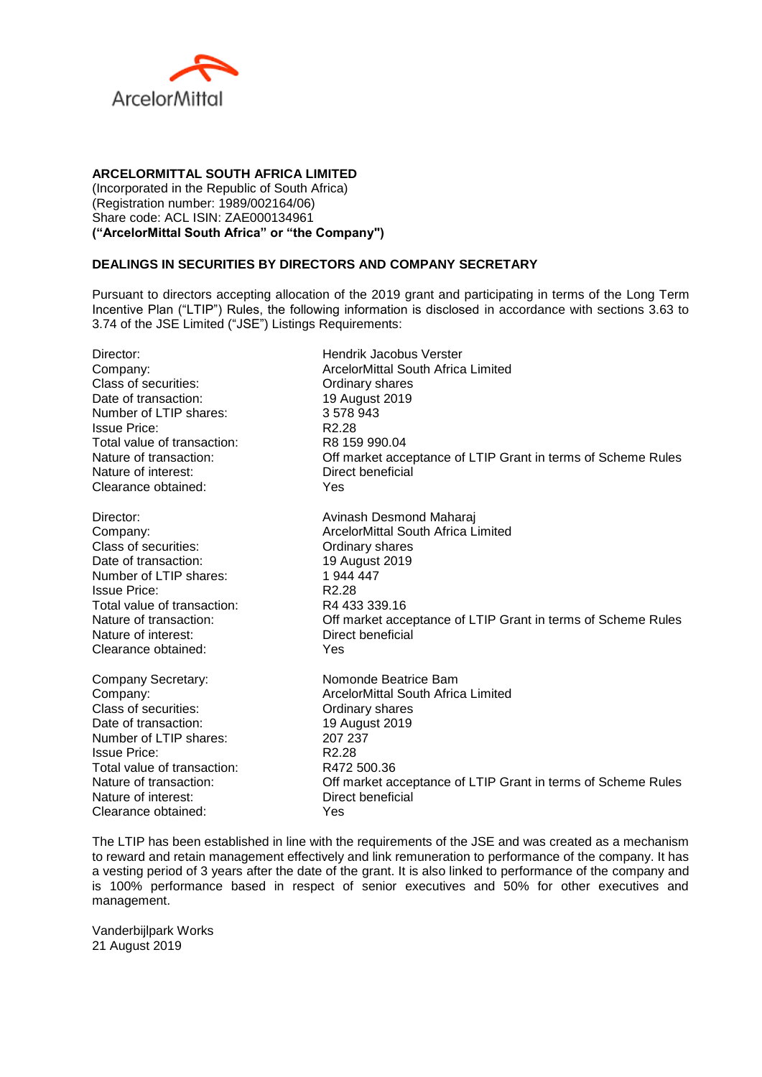

## **ARCELORMITTAL SOUTH AFRICA LIMITED**

(Incorporated in the Republic of South Africa) (Registration number: 1989/002164/06) Share code: ACL ISIN: ZAE000134961 **("ArcelorMittal South Africa" or "the Company")**

## **DEALINGS IN SECURITIES BY DIRECTORS AND COMPANY SECRETARY**

Pursuant to directors accepting allocation of the 2019 grant and participating in terms of the Long Term Incentive Plan ("LTIP") Rules, the following information is disclosed in accordance with sections 3.63 to 3.74 of the JSE Limited ("JSE") Listings Requirements:

| Director:                   | <b>Hendrik Jacobus Verster</b>                               |
|-----------------------------|--------------------------------------------------------------|
| Company:                    | <b>ArcelorMittal South Africa Limited</b>                    |
| Class of securities:        | Ordinary shares                                              |
| Date of transaction:        | 19 August 2019                                               |
| Number of LTIP shares:      | 3578943                                                      |
| <b>Issue Price:</b>         | R <sub>2.28</sub>                                            |
| Total value of transaction: | R8 159 990.04                                                |
| Nature of transaction:      | Off market acceptance of LTIP Grant in terms of Scheme Rules |
| Nature of interest:         | Direct beneficial                                            |
| Clearance obtained:         | Yes                                                          |
| Director:                   | Avinash Desmond Maharaj                                      |
| Company:                    | <b>ArcelorMittal South Africa Limited</b>                    |
| Class of securities:        | Ordinary shares                                              |
| Date of transaction:        | 19 August 2019                                               |
| Number of LTIP shares:      | 1 944 447                                                    |
| <b>Issue Price:</b>         | R <sub>2.28</sub>                                            |
| Total value of transaction: | R4 433 339.16                                                |
| Nature of transaction:      | Off market acceptance of LTIP Grant in terms of Scheme Rules |
| Nature of interest:         | Direct beneficial                                            |
| Clearance obtained:         | Yes                                                          |
| Company Secretary:          | Nomonde Beatrice Bam                                         |
| Company:                    | ArcelorMittal South Africa Limited                           |
| Class of securities:        | Ordinary shares                                              |
| Date of transaction:        | 19 August 2019                                               |
| Number of LTIP shares:      | 207 237                                                      |
| <b>Issue Price:</b>         | R <sub>2.28</sub>                                            |
| Total value of transaction: | R472 500.36                                                  |
| Nature of transaction:      | Off market acceptance of LTIP Grant in terms of Scheme Rules |
| Nature of interest:         | Direct beneficial                                            |
| Clearance obtained:         | Yes                                                          |
|                             |                                                              |

The LTIP has been established in line with the requirements of the JSE and was created as a mechanism to reward and retain management effectively and link remuneration to performance of the company. It has a vesting period of 3 years after the date of the grant. It is also linked to performance of the company and is 100% performance based in respect of senior executives and 50% for other executives and management.

Vanderbijlpark Works 21 August 2019